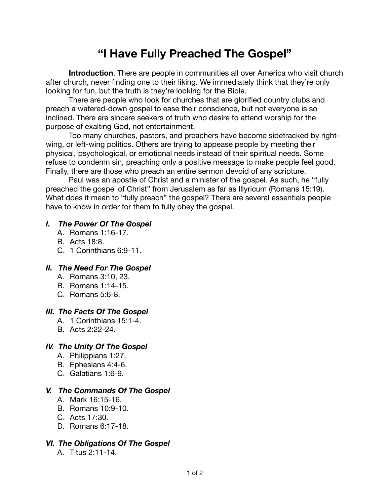# **"I Have Fully Preached The Gospel"**

**Introduction**. There are people in communities all over America who visit church after church, never finding one to their liking. We immediately think that they're only looking for fun, but the truth is they're looking for the Bible.

There are people who look for churches that are glorified country clubs and preach a watered-down gospel to ease their conscience, but not everyone is so inclined. There are sincere seekers of truth who desire to attend worship for the purpose of exalting God, not entertainment.

Too many churches, pastors, and preachers have become sidetracked by rightwing, or left-wing politics. Others are trying to appease people by meeting their physical, psychological, or emotional needs instead of their spiritual needs. Some refuse to condemn sin, preaching only a positive message to make people feel good. Finally, there are those who preach an entire sermon devoid of any scripture.

Paul was an apostle of Christ and a minister of the gospel. As such, he "fully preached the gospel of Christ" from Jerusalem as far as Illyricum (Romans 15:19). What does it mean to "fully preach" the gospel? There are several essentials people have to know in order for them to fully obey the gospel.

#### *I. The Power Of The Gospel*

- A. Romans 1:16-17.
- B. Acts 18:8.
- C. 1 Corinthians 6:9-11.

# *II. The Need For The Gospel*

- A. Romans 3:10, 23.
- B. Romans 1:14-15.
- C. Romans 5:6-8.

# *III. The Facts Of The Gospel*

- A. 1 Corinthians 15:1-4.
- B. Acts 2:22-24.

# *IV. The Unity Of The Gospel*

- A. Philippians 1:27.
- B. Ephesians 4:4-6.
- C. Galatians 1:6-9.

#### *V. The Commands Of The Gospel*

- A. Mark 16:15-16.
- B. Romans 10:9-10.
- C. Acts 17:30.
- D. Romans 6:17-18.

# *VI. The Obligations Of The Gospel*

A. Titus 2:11-14.